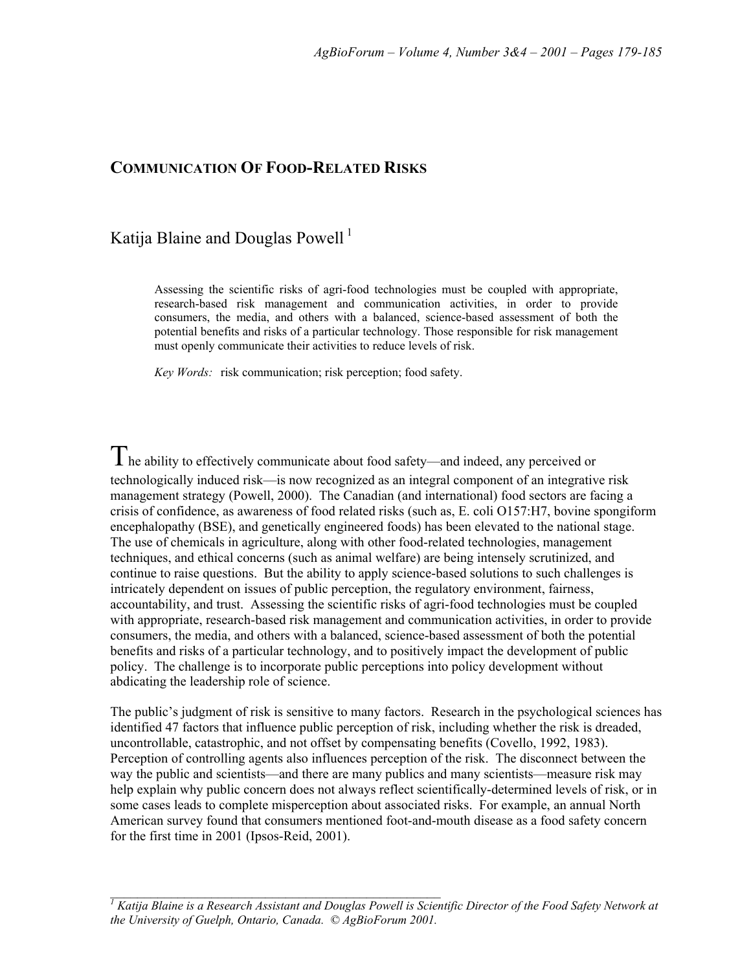# **COMMUNICATION OF FOOD-RELATED RISKS**

# Katija Blaine and Douglas Powell<sup>1</sup>

Assessing the scientific risks of agri-food technologies must be coupled with appropriate, research-based risk management and communication activities, in order to provide consumers, the media, and others with a balanced, science-based assessment of both the potential benefits and risks of a particular technology. Those responsible for risk management must openly communicate their activities to reduce levels of risk.

*Key Words:* risk communication; risk perception; food safety.

 $T$ he ability to effectively communicate about food safety—and indeed, any perceived or technologically induced risk—is now recognized as an integral component of an integrative risk management strategy (Powell, 2000). The Canadian (and international) food sectors are facing a crisis of confidence, as awareness of food related risks (such as, E. coli O157:H7, bovine spongiform encephalopathy (BSE), and genetically engineered foods) has been elevated to the national stage. The use of chemicals in agriculture, along with other food-related technologies, management techniques, and ethical concerns (such as animal welfare) are being intensely scrutinized, and continue to raise questions. But the ability to apply science-based solutions to such challenges is intricately dependent on issues of public perception, the regulatory environment, fairness, accountability, and trust. Assessing the scientific risks of agri-food technologies must be coupled with appropriate, research-based risk management and communication activities, in order to provide consumers, the media, and others with a balanced, science-based assessment of both the potential benefits and risks of a particular technology, and to positively impact the development of public policy. The challenge is to incorporate public perceptions into policy development without abdicating the leadership role of science.

The public's judgment of risk is sensitive to many factors. Research in the psychological sciences has identified 47 factors that influence public perception of risk, including whether the risk is dreaded, uncontrollable, catastrophic, and not offset by compensating benefits (Covello, 1992, 1983). Perception of controlling agents also influences perception of the risk. The disconnect between the way the public and scientists—and there are many publics and many scientists—measure risk may help explain why public concern does not always reflect scientifically-determined levels of risk, or in some cases leads to complete misperception about associated risks. For example, an annual North American survey found that consumers mentioned foot-and-mouth disease as a food safety concern for the first time in 2001 (Ipsos-Reid, 2001).

\_\_\_\_\_\_\_\_\_\_\_\_\_\_\_\_\_\_\_\_\_\_\_\_\_\_\_\_\_\_\_\_\_\_\_\_\_\_\_\_\_\_\_\_\_\_\_\_\_ *<sup>1</sup> Katija Blaine is a Research Assistant and Douglas Powell is Scientific Director of the Food Safety Network at the University of Guelph, Ontario, Canada. © AgBioForum 2001.*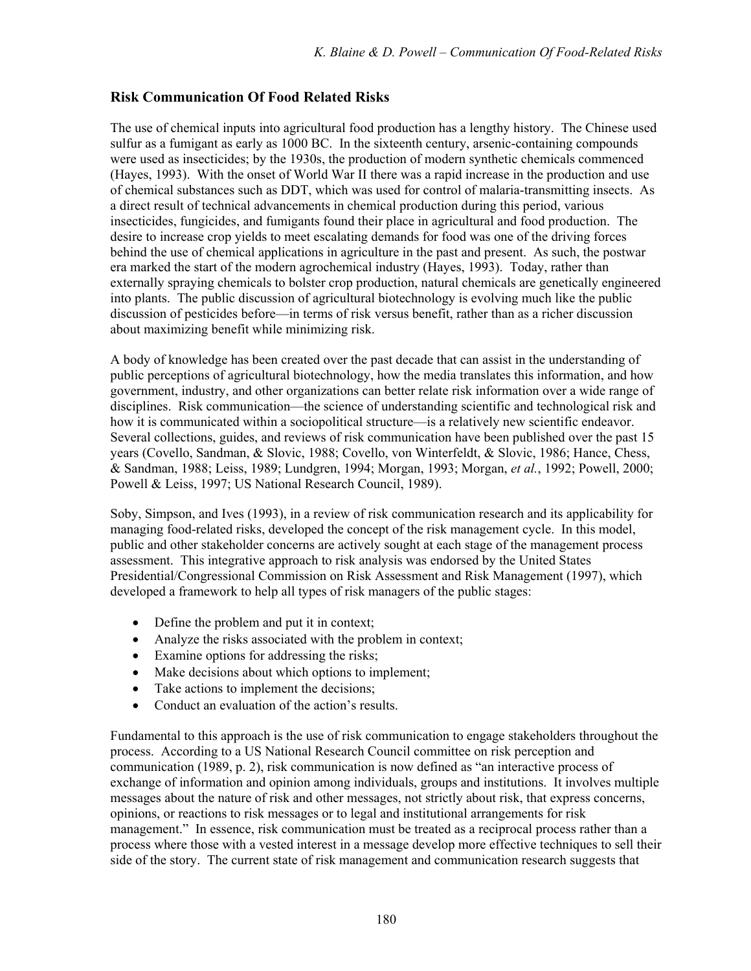# **Risk Communication Of Food Related Risks**

The use of chemical inputs into agricultural food production has a lengthy history. The Chinese used sulfur as a fumigant as early as 1000 BC. In the sixteenth century, arsenic-containing compounds were used as insecticides; by the 1930s, the production of modern synthetic chemicals commenced (Hayes, 1993). With the onset of World War II there was a rapid increase in the production and use of chemical substances such as DDT, which was used for control of malaria-transmitting insects. As a direct result of technical advancements in chemical production during this period, various insecticides, fungicides, and fumigants found their place in agricultural and food production. The desire to increase crop yields to meet escalating demands for food was one of the driving forces behind the use of chemical applications in agriculture in the past and present. As such, the postwar era marked the start of the modern agrochemical industry (Hayes, 1993). Today, rather than externally spraying chemicals to bolster crop production, natural chemicals are genetically engineered into plants. The public discussion of agricultural biotechnology is evolving much like the public discussion of pesticides before—in terms of risk versus benefit, rather than as a richer discussion about maximizing benefit while minimizing risk.

A body of knowledge has been created over the past decade that can assist in the understanding of public perceptions of agricultural biotechnology, how the media translates this information, and how government, industry, and other organizations can better relate risk information over a wide range of disciplines. Risk communication—the science of understanding scientific and technological risk and how it is communicated within a sociopolitical structure—is a relatively new scientific endeavor. Several collections, guides, and reviews of risk communication have been published over the past 15 years (Covello, Sandman, & Slovic, 1988; Covello, von Winterfeldt, & Slovic, 1986; Hance, Chess, & Sandman, 1988; Leiss, 1989; Lundgren, 1994; Morgan, 1993; Morgan, *et al.*, 1992; Powell, 2000; Powell & Leiss, 1997; US National Research Council, 1989).

Soby, Simpson, and Ives (1993), in a review of risk communication research and its applicability for managing food-related risks, developed the concept of the risk management cycle. In this model, public and other stakeholder concerns are actively sought at each stage of the management process assessment. This integrative approach to risk analysis was endorsed by the United States Presidential/Congressional Commission on Risk Assessment and Risk Management (1997), which developed a framework to help all types of risk managers of the public stages:

- Define the problem and put it in context;
- Analyze the risks associated with the problem in context;
- Examine options for addressing the risks;
- Make decisions about which options to implement;
- Take actions to implement the decisions;
- Conduct an evaluation of the action's results.

Fundamental to this approach is the use of risk communication to engage stakeholders throughout the process. According to a US National Research Council committee on risk perception and communication (1989, p. 2), risk communication is now defined as "an interactive process of exchange of information and opinion among individuals, groups and institutions. It involves multiple messages about the nature of risk and other messages, not strictly about risk, that express concerns, opinions, or reactions to risk messages or to legal and institutional arrangements for risk management." In essence, risk communication must be treated as a reciprocal process rather than a process where those with a vested interest in a message develop more effective techniques to sell their side of the story. The current state of risk management and communication research suggests that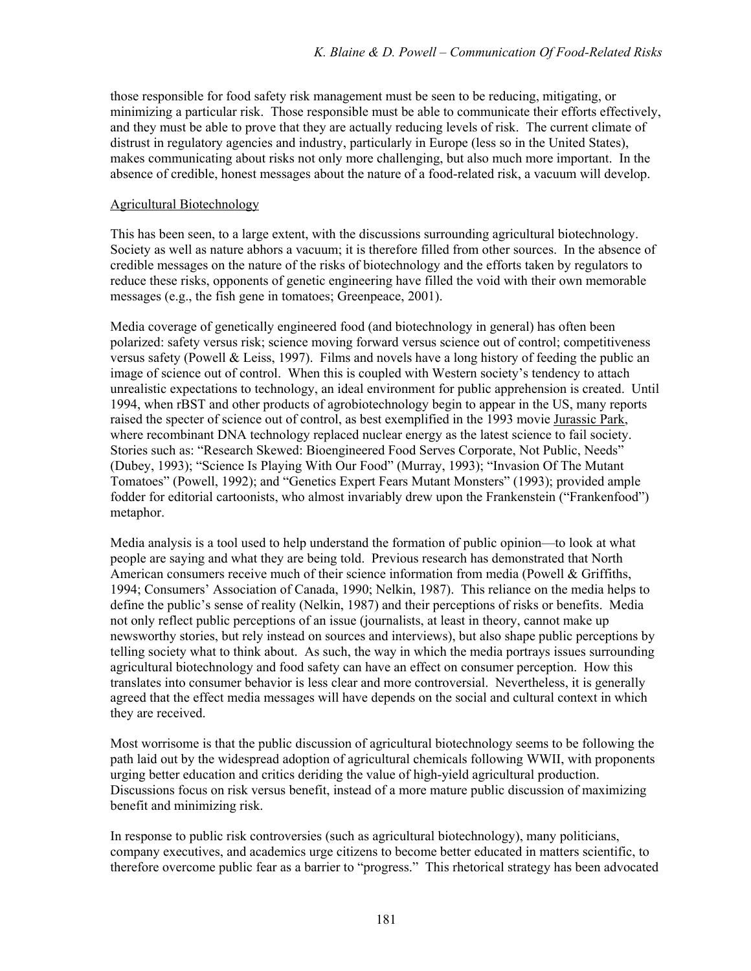those responsible for food safety risk management must be seen to be reducing, mitigating, or minimizing a particular risk. Those responsible must be able to communicate their efforts effectively, and they must be able to prove that they are actually reducing levels of risk. The current climate of distrust in regulatory agencies and industry, particularly in Europe (less so in the United States), makes communicating about risks not only more challenging, but also much more important. In the absence of credible, honest messages about the nature of a food-related risk, a vacuum will develop.

#### Agricultural Biotechnology

This has been seen, to a large extent, with the discussions surrounding agricultural biotechnology. Society as well as nature abhors a vacuum; it is therefore filled from other sources. In the absence of credible messages on the nature of the risks of biotechnology and the efforts taken by regulators to reduce these risks, opponents of genetic engineering have filled the void with their own memorable messages (e.g., the fish gene in tomatoes; Greenpeace, 2001).

Media coverage of genetically engineered food (and biotechnology in general) has often been polarized: safety versus risk; science moving forward versus science out of control; competitiveness versus safety (Powell  $& Leiss$ , 1997). Films and novels have a long history of feeding the public an image of science out of control. When this is coupled with Western society's tendency to attach unrealistic expectations to technology, an ideal environment for public apprehension is created. Until 1994, when rBST and other products of agrobiotechnology begin to appear in the US, many reports raised the specter of science out of control, as best exemplified in the 1993 movie Jurassic Park, where recombinant DNA technology replaced nuclear energy as the latest science to fail society. Stories such as: "Research Skewed: Bioengineered Food Serves Corporate, Not Public, Needs" (Dubey, 1993); "Science Is Playing With Our Food" (Murray, 1993); "Invasion Of The Mutant Tomatoes" (Powell, 1992); and "Genetics Expert Fears Mutant Monsters" (1993); provided ample fodder for editorial cartoonists, who almost invariably drew upon the Frankenstein ("Frankenfood") metaphor.

Media analysis is a tool used to help understand the formation of public opinion—to look at what people are saying and what they are being told. Previous research has demonstrated that North American consumers receive much of their science information from media (Powell & Griffiths, 1994; Consumersí Association of Canada, 1990; Nelkin, 1987). This reliance on the media helps to define the public's sense of reality (Nelkin, 1987) and their perceptions of risks or benefits. Media not only reflect public perceptions of an issue (journalists, at least in theory, cannot make up newsworthy stories, but rely instead on sources and interviews), but also shape public perceptions by telling society what to think about. As such, the way in which the media portrays issues surrounding agricultural biotechnology and food safety can have an effect on consumer perception. How this translates into consumer behavior is less clear and more controversial. Nevertheless, it is generally agreed that the effect media messages will have depends on the social and cultural context in which they are received.

Most worrisome is that the public discussion of agricultural biotechnology seems to be following the path laid out by the widespread adoption of agricultural chemicals following WWII, with proponents urging better education and critics deriding the value of high-yield agricultural production. Discussions focus on risk versus benefit, instead of a more mature public discussion of maximizing benefit and minimizing risk.

In response to public risk controversies (such as agricultural biotechnology), many politicians, company executives, and academics urge citizens to become better educated in matters scientific, to therefore overcome public fear as a barrier to "progress." This rhetorical strategy has been advocated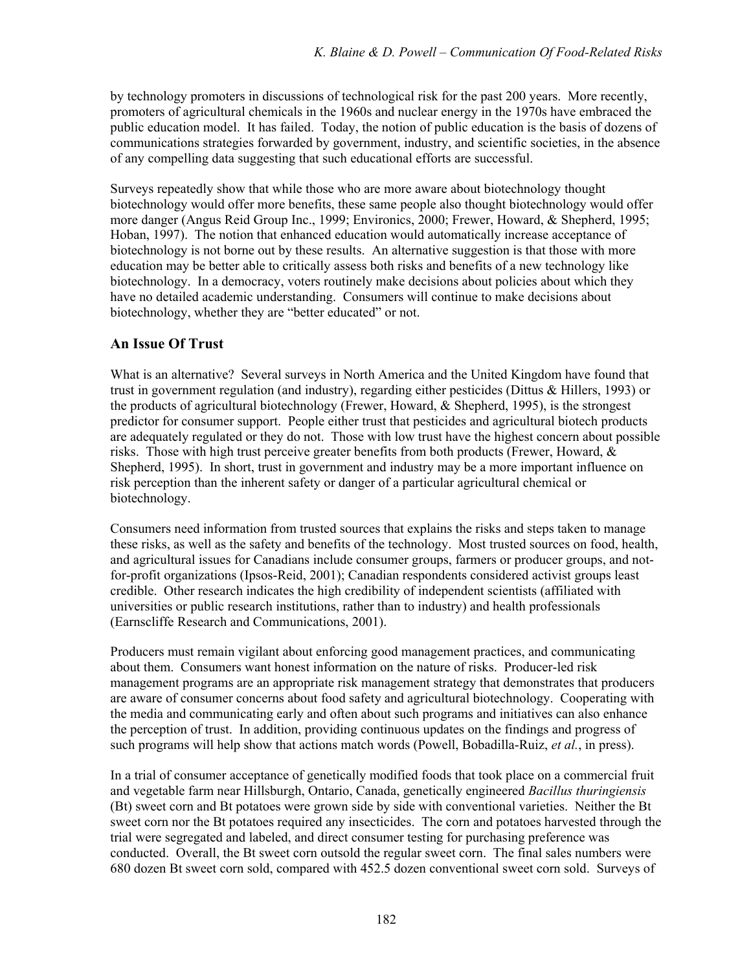by technology promoters in discussions of technological risk for the past 200 years. More recently, promoters of agricultural chemicals in the 1960s and nuclear energy in the 1970s have embraced the public education model. It has failed. Today, the notion of public education is the basis of dozens of communications strategies forwarded by government, industry, and scientific societies, in the absence of any compelling data suggesting that such educational efforts are successful.

Surveys repeatedly show that while those who are more aware about biotechnology thought biotechnology would offer more benefits, these same people also thought biotechnology would offer more danger (Angus Reid Group Inc., 1999; Environics, 2000; Frewer, Howard, & Shepherd, 1995; Hoban, 1997). The notion that enhanced education would automatically increase acceptance of biotechnology is not borne out by these results. An alternative suggestion is that those with more education may be better able to critically assess both risks and benefits of a new technology like biotechnology. In a democracy, voters routinely make decisions about policies about which they have no detailed academic understanding. Consumers will continue to make decisions about biotechnology, whether they are "better educated" or not.

### **An Issue Of Trust**

What is an alternative? Several surveys in North America and the United Kingdom have found that trust in government regulation (and industry), regarding either pesticides (Dittus & Hillers, 1993) or the products of agricultural biotechnology (Frewer, Howard, & Shepherd, 1995), is the strongest predictor for consumer support. People either trust that pesticides and agricultural biotech products are adequately regulated or they do not. Those with low trust have the highest concern about possible risks. Those with high trust perceive greater benefits from both products (Frewer, Howard,  $\&$ Shepherd, 1995). In short, trust in government and industry may be a more important influence on risk perception than the inherent safety or danger of a particular agricultural chemical or biotechnology.

Consumers need information from trusted sources that explains the risks and steps taken to manage these risks, as well as the safety and benefits of the technology. Most trusted sources on food, health, and agricultural issues for Canadians include consumer groups, farmers or producer groups, and notfor-profit organizations (Ipsos-Reid, 2001); Canadian respondents considered activist groups least credible. Other research indicates the high credibility of independent scientists (affiliated with universities or public research institutions, rather than to industry) and health professionals (Earnscliffe Research and Communications, 2001).

Producers must remain vigilant about enforcing good management practices, and communicating about them. Consumers want honest information on the nature of risks. Producer-led risk management programs are an appropriate risk management strategy that demonstrates that producers are aware of consumer concerns about food safety and agricultural biotechnology. Cooperating with the media and communicating early and often about such programs and initiatives can also enhance the perception of trust. In addition, providing continuous updates on the findings and progress of such programs will help show that actions match words (Powell, Bobadilla-Ruiz, *et al.*, in press).

In a trial of consumer acceptance of genetically modified foods that took place on a commercial fruit and vegetable farm near Hillsburgh, Ontario, Canada, genetically engineered *Bacillus thuringiensis* (Bt) sweet corn and Bt potatoes were grown side by side with conventional varieties. Neither the Bt sweet corn nor the Bt potatoes required any insecticides. The corn and potatoes harvested through the trial were segregated and labeled, and direct consumer testing for purchasing preference was conducted. Overall, the Bt sweet corn outsold the regular sweet corn. The final sales numbers were 680 dozen Bt sweet corn sold, compared with 452.5 dozen conventional sweet corn sold. Surveys of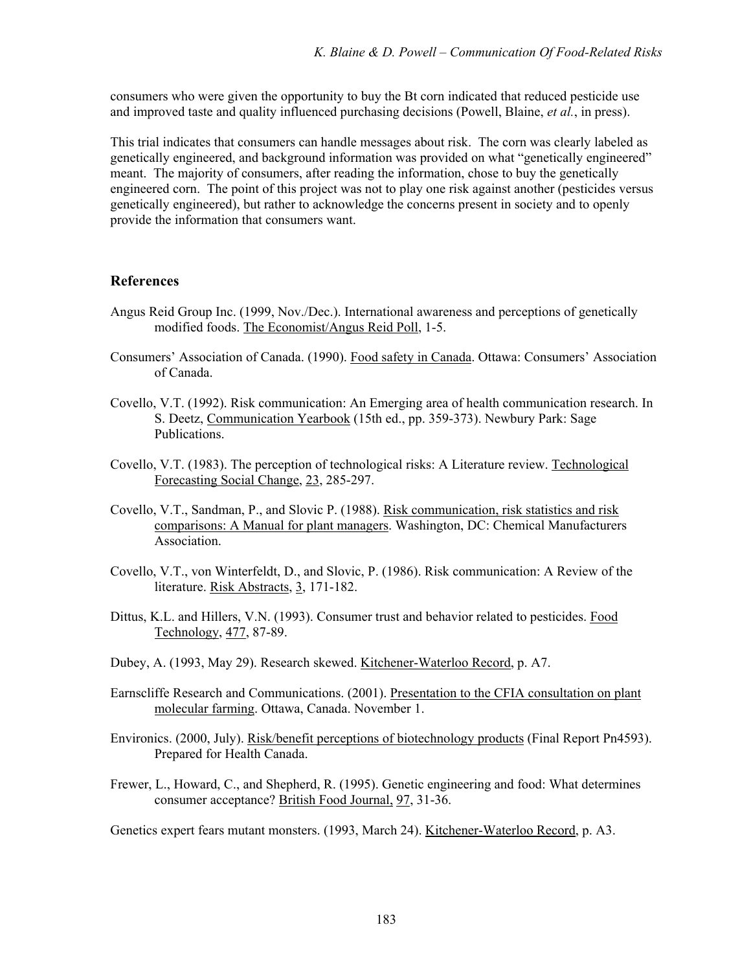consumers who were given the opportunity to buy the Bt corn indicated that reduced pesticide use and improved taste and quality influenced purchasing decisions (Powell, Blaine, *et al.*, in press).

This trial indicates that consumers can handle messages about risk. The corn was clearly labeled as genetically engineered, and background information was provided on what "genetically engineered" meant. The majority of consumers, after reading the information, chose to buy the genetically engineered corn. The point of this project was not to play one risk against another (pesticides versus genetically engineered), but rather to acknowledge the concerns present in society and to openly provide the information that consumers want.

### **References**

- Angus Reid Group Inc. (1999, Nov./Dec.). International awareness and perceptions of genetically modified foods. The Economist/Angus Reid Poll, 1-5.
- Consumers' Association of Canada. (1990). Food safety in Canada. Ottawa: Consumers' Association of Canada.
- Covello, V.T. (1992). Risk communication: An Emerging area of health communication research. In S. Deetz, Communication Yearbook (15th ed., pp. 359-373). Newbury Park: Sage Publications.
- Covello, V.T. (1983). The perception of technological risks: A Literature review. Technological Forecasting Social Change, 23, 285-297.
- Covello, V.T., Sandman, P., and Slovic P. (1988). Risk communication, risk statistics and risk comparisons: A Manual for plant managers. Washington, DC: Chemical Manufacturers Association.
- Covello, V.T., von Winterfeldt, D., and Slovic, P. (1986). Risk communication: A Review of the literature. Risk Abstracts, 3, 171-182.
- Dittus, K.L. and Hillers, V.N. (1993). Consumer trust and behavior related to pesticides. Food Technology, 477, 87-89.
- Dubey, A. (1993, May 29). Research skewed. Kitchener-Waterloo Record, p. A7.
- Earnscliffe Research and Communications. (2001). Presentation to the CFIA consultation on plant molecular farming. Ottawa, Canada. November 1.
- Environics. (2000, July). Risk/benefit perceptions of biotechnology products (Final Report Pn4593). Prepared for Health Canada.
- Frewer, L., Howard, C., and Shepherd, R. (1995). Genetic engineering and food: What determines consumer acceptance? British Food Journal, 97, 31-36.

Genetics expert fears mutant monsters. (1993, March 24). Kitchener-Waterloo Record, p. A3.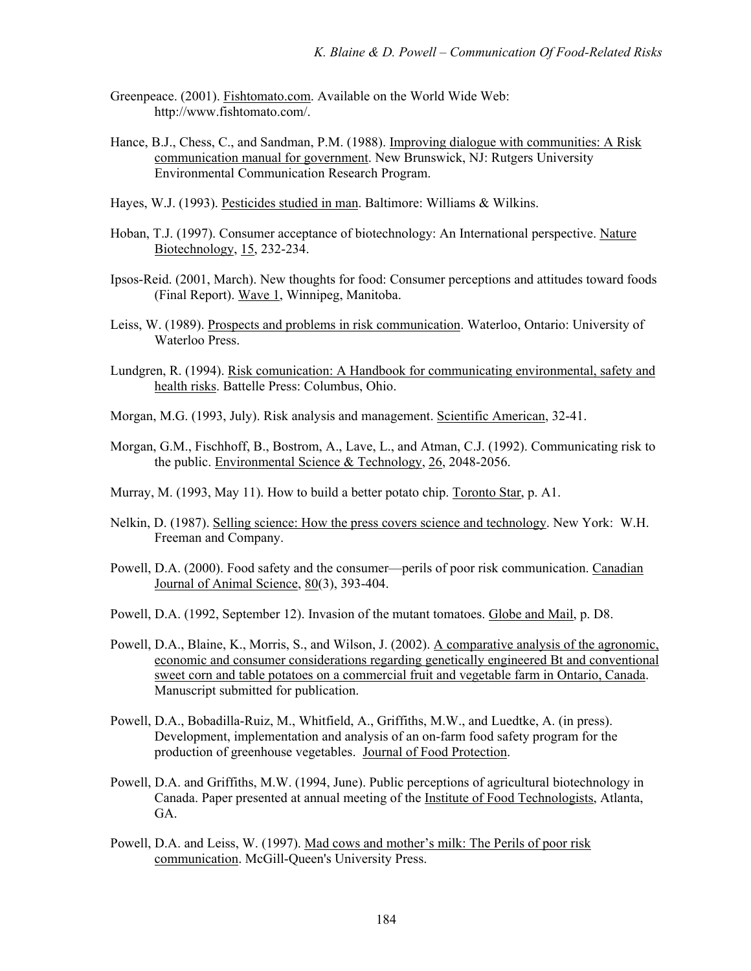- Greenpeace. (2001). Fishtomato.com. Available on the World Wide Web: http://www.fishtomato.com/.
- Hance, B.J., Chess, C., and Sandman, P.M. (1988). Improving dialogue with communities: A Risk communication manual for government. New Brunswick, NJ: Rutgers University Environmental Communication Research Program.
- Hayes, W.J. (1993). Pesticides studied in man. Baltimore: Williams & Wilkins.
- Hoban, T.J. (1997). Consumer acceptance of biotechnology: An International perspective. Nature Biotechnology, 15, 232-234.
- Ipsos-Reid. (2001, March). New thoughts for food: Consumer perceptions and attitudes toward foods (Final Report). Wave 1, Winnipeg, Manitoba.
- Leiss, W. (1989). Prospects and problems in risk communication. Waterloo, Ontario: University of Waterloo Press.
- Lundgren, R. (1994). Risk comunication: A Handbook for communicating environmental, safety and health risks. Battelle Press: Columbus, Ohio.
- Morgan, M.G. (1993, July). Risk analysis and management. Scientific American, 32-41.
- Morgan, G.M., Fischhoff, B., Bostrom, A., Lave, L., and Atman, C.J. (1992). Communicating risk to the public. Environmental Science & Technology, 26, 2048-2056.
- Murray, M. (1993, May 11). How to build a better potato chip. Toronto Star, p. A1.
- Nelkin, D. (1987). Selling science: How the press covers science and technology. New York: W.H. Freeman and Company.
- Powell, D.A. (2000). Food safety and the consumer—perils of poor risk communication. Canadian Journal of Animal Science, 80(3), 393-404.
- Powell, D.A. (1992, September 12). Invasion of the mutant tomatoes. Globe and Mail, p. D8.
- Powell, D.A., Blaine, K., Morris, S., and Wilson, J. (2002). A comparative analysis of the agronomic, economic and consumer considerations regarding genetically engineered Bt and conventional sweet corn and table potatoes on a commercial fruit and vegetable farm in Ontario, Canada. Manuscript submitted for publication.
- Powell, D.A., Bobadilla-Ruiz, M., Whitfield, A., Griffiths, M.W., and Luedtke, A. (in press). Development, implementation and analysis of an on-farm food safety program for the production of greenhouse vegetables. Journal of Food Protection.
- Powell, D.A. and Griffiths, M.W. (1994, June). Public perceptions of agricultural biotechnology in Canada. Paper presented at annual meeting of the Institute of Food Technologists, Atlanta, GA.
- Powell, D.A. and Leiss, W. (1997). Mad cows and mother's milk: The Perils of poor risk communication. McGill-Queen's University Press.